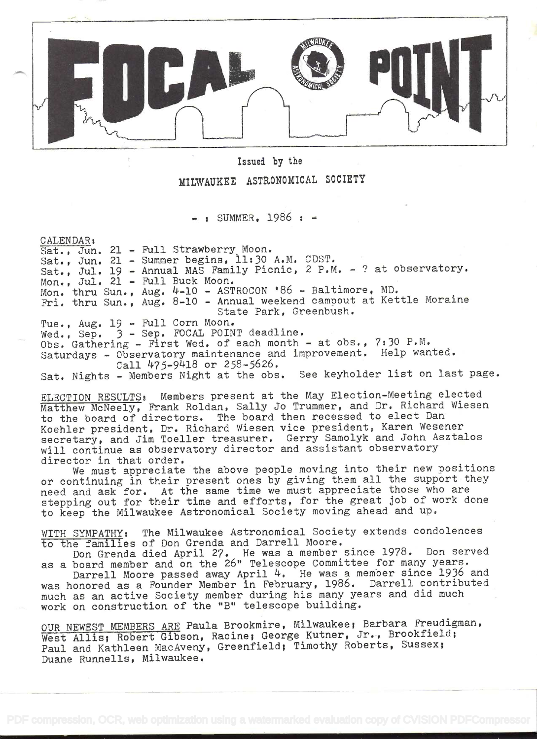

Issued by the

MILWAUKEE ASTRONOMICAL SOCIETY

 $-$  : SUMMER, 1986 :  $-$ 

CALENDAR:<br>Sat., Jun. 21 - Full Strawberry Moon. Sat., Jun. 21 - Summer begins, 11:30 A.M. CDST. Sat., Jul. 19 - Annual MAS Family Picnic, 2 P.M. - ? at observatory.<br>Mon., Jul. 21 - Full Buck Moon. Mon., Jul. 21 - Full Buck Moon.<br>Mon. thru Sun., Aug. 4-10 - ASTROCON '86 - Baltimore, MD. Mon. thru Sun., Aug. 4–10 – ASTROCON '86 – Baltimore, MD.<br>Fri. thru Sun., Aug. 8–10 – Annual weekend campout at Kettle Moraine State Park, Greenbush. Tue., Aug. 19 - Full Corn Moon. Wed., Sep. 3 - Sep. FOCAL POINT deadline. Obs. Gathering - First Wed. of each month - at obs., 7:30 P.M. Saturdays - Observatory maintenance and improvement. Help wanted. Call  $475-9418$  or  $258-5626$ . Sat. Nights - Members Night at the obs. See keyholder list on last page. ELECTION RESULTS: Members present at the May Election-Meeting elected Matthew McNeely, Frank Roldan, Sally Jo Trummer, and Dr. Richard Wiesen to the board of directors. The board then recessed to elect Dan Koehler president, Dr. Richard Wiesen vice president, Karen Wesener secretary, and Jim Toeller treasurer. Gerry Samolyk and John Asztalos will continue as observatory director and assistant observatory director in that order. We must appreciate the above people moving into their new positions or continuing in their present ones by giving them all the support they need and ask for. At the same time we must appreciate those who are stepping out for their time and efforts, for the great job of work done to keep the Milwaukee Astronomical Society moving ahead and up. WITH SYMPATHY: The Milwaukee Astronomical Society extends condolences to the families of Don Grenda and Darrell Moore. Don Grenda died April 27. He was a member since 1978. Don served as a board member and on the 26" Telescope Committee for many years. Darrell Moore passed away April 4. He was a member since 1936 and was honored as a Founder Member in February, 1986. Darrell contributed much as an active Society member during his many years and did much work on construction of the "B" telescope building.

OUR NEWEST MEMBERS ARE Paula Brookmire, Milwaukee; Barbara Freudigman, West Allis; Robert Gibson, Racine; George Kutner, Jr., Brookfield; Paul and Kathleen MacAveny, Greenfield; Timothy Roberts, Sussex; Duane Runnells, Milwaukee.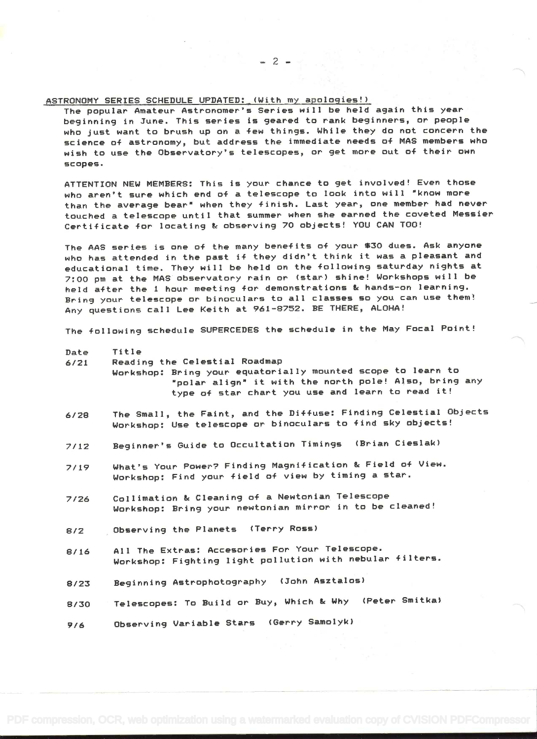## ASTRONOMY SERIES SCHEDULE UPDATED: (With my apologies!)

The popular Amateur Astronomer's Series will be held again this year beginning in June. This series is geared to rank beginners, or people who just want to brush up on a few things. While they do not concern the science of astronomy, but address the immediate needs 0+ MAS members who wish to use the Observatory's telescopes, or get more out of their own scopes.

ATTENTION NEW MEMBERS: This is your chance to get involved! Even those who aren't sure which end of a telescope to look into will "know more than the average bear" when they finish. Last year, one member had never touched a telescope until that summer when she earned the coveted Messier Certificate for locating & observing 70 objects! YOU CAN TOO!

The AAS series is one of the many benefits of your \$30 dues. Ask anyone who has attended in the past if they didn't think it was a pleasant and educational time. They will be held on the following saturday nights at 7:00 pm at the MAS observatory rain or (star) shine! Workshops will be held after the i hour meeting for demonstrations & hands-on learning. Bring your telescope or binoculars to all classes so you can use them! Any questions call Lee Keith at 961-852. BE THERE, ALOHA!

The following schedule SUPERCEDES the schedule in the May Focal Point!

## Date Title

- 6/21 Reading the Celestial Roadmap Workshop: Bring your equatorially mounted scope to learn to "polar align" it with the north pole! Also, bring any type of star chart you use and learn to read it!
- 6/28 The Small, the Faint, and the Diffuse: Finding Celestial Objects Workshop: Use telescope or binoculars to find sky objects!
- 7/12 Beginner's Guide to Occultation Timings (Brian Cieslak)
- 7/19 What's Your Power? Finding Magnification & Field of View. Workshop: Find your field of view by timing a star.
- 7/26 Collimation & Cleaning of a Newtonian Telescope Workshop: Bring your newtonian mirror in to be cleaned!
- 8/2 Observing the Planets (Terry Ross)
- 8/16 All The Extras: Accesories For Your Telescope. Workshop: Fighting light pollution with nebular filters.
- 8/23 Beginning Astrophotography (John Asztalos)
- 8/30 Telescopes: To Build or Buy, Which & Why (Peter Smitka)

9/6 Observing Variable Stars (Gerry Samolyk)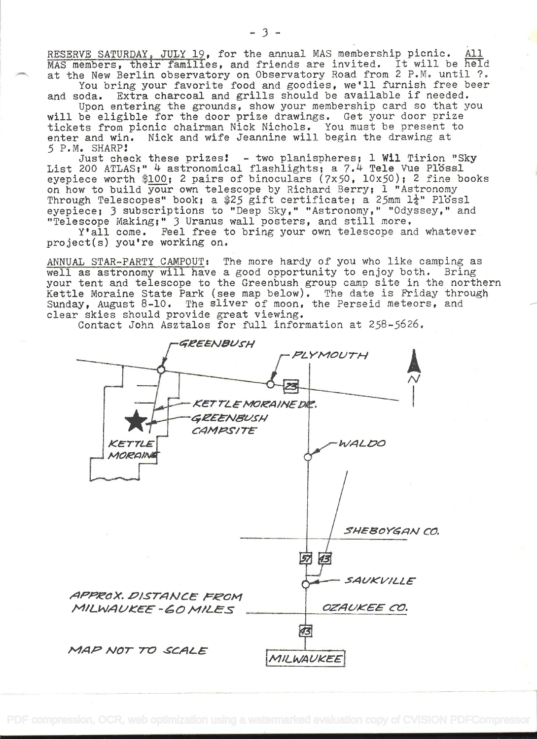RESERVE SATURDAY, JULY 19, for the annual MAS membership picnic. All MAS members, their families, and friends are invited. It will be held at the New Berlin observatory on Observatory Road from 2 P.M. until ?.

You bring your favorite food and goodies, we'll furnish free beer and soda. Extra charcoal and grills should be available if needed.

Upon entering the grounds, show your membership card so that you will be eligible for the door prize drawings. Get your door prize tickets from picnic chairman Nick Nichols. You must be present to enter and win. Nick and wife Jeannine will begin the drawing at .5 P.M. SHARP

Just check these prizes!  $-$  two planispheres; 1 Wil Tirion "Sky List 200 ATLAS;" 4 astronomical flashlights; a 7.4 Tele Vue Plossl eyepiece worth \$100; 2 pairs of binoculars  $(7x50, 10x50)$ ; 2 fine books on how to build your own telescope by Richard Berry; 1 "Astronomy Through Telescopes" book; a \$25 gift certificate; a 25mm  $1\frac{1}{4}$ " Plossl eyepiece; 3 subscriptions to "Deep Sky," "Astronomy," "Odyssey," and 'Telescope Making;" 3 Uranus wall posters, and still more,

Y'all come. Feel free to bring your own telescope and whatever project(s) you're working on.

ANNUAL STAR-PARTY CAMPOUT: The more hardy of you who like camping as<br>well as astronomy will have a good opportunity to enjoy both. Bring well as astronomy will have a good opportunity to enjoy both. your tent and telescope to the Greenbush group camp site in the northern Kettle Moraine State Park (see map below). The date is Friday through Sunday, August 8-lO. The sliver of moon, the Perseid meteors, and clear skies should provide great viewing.

Contact John Asztalos for full information at 258-5626.